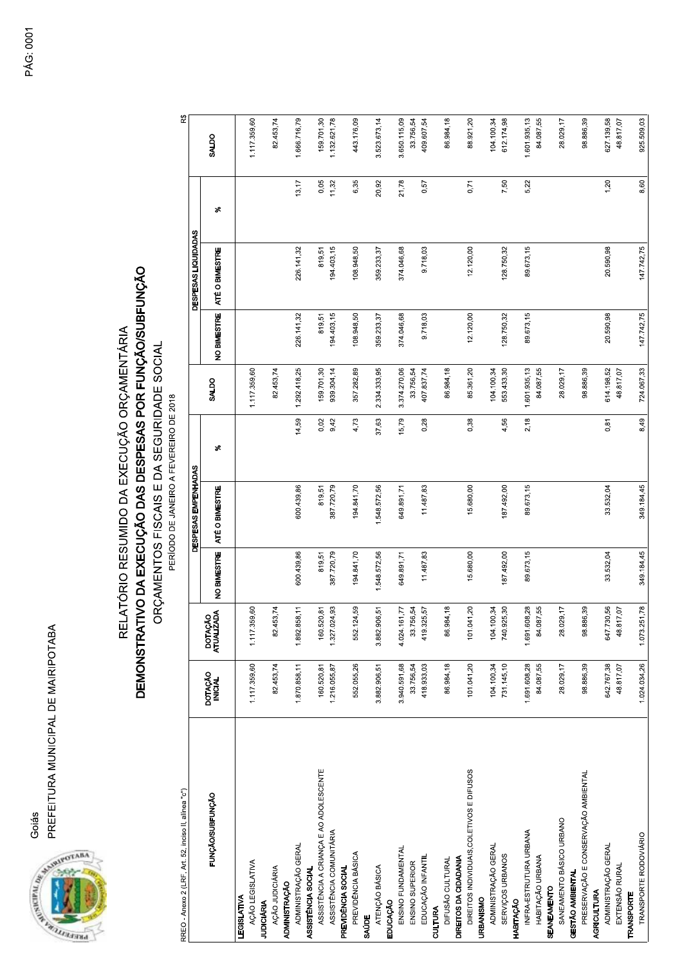



## PREFEITURA MUNICIPAL DE MAIRIPOTABA<br>|REFEITURA MUNICIPAL DE MAIRIPOTABA<br>|RELATÓRIO RESUMIDO DA EXECUÇÃO ORÇAMENTÁRIA<br>|D**EMONSTRATIVO DA EXECUÇÃO DAS DESPESAS POR FUNÇÃOSUBFUNÇÃO**<br>|ORÇAMENTOS FISCAIS E DA SEGURIDADE SOCIAL

| RREO - Anexo 2 (LRF, Art. 52, inciso II, alínea "c")                                    |                            |                            |                      | DEMONSTRATIVO DA EXECUÇÃO DAS DESPESAS POR FUNÇÃO/SUBFUNÇÃO<br>RELATÓRIO RESUMIDO DA EXECUÇÃO ORÇAMENTÁRIA<br>ORÇAMENTOS FISCAIS E DA SEGURIDADE SOCIAL<br>PERÍODO DE JANEIRO A FEVEREIRO DE 2018 |              |                          |                      |                                       |               | R\$                        |
|-----------------------------------------------------------------------------------------|----------------------------|----------------------------|----------------------|---------------------------------------------------------------------------------------------------------------------------------------------------------------------------------------------------|--------------|--------------------------|----------------------|---------------------------------------|---------------|----------------------------|
| FUNCAO/SUBFUNCAO                                                                        | DOTAÇÃO<br>INICIAL         | DOTAÇÃO<br>ATUALIZADA      | NO BIMESTRE          | DESPESAS EMPENHADAS<br>ATÉ O BIMESTRE                                                                                                                                                             | S,           | SALDO                    | NO BIMESTRE          | DESPESAS LIQUIDADAS<br>ATÉ O BIMESTRE | s,            | SALDO                      |
| AÇÃO LEGISLATIVA<br>LEGISLATIVA                                                         | 1.117.359,60               | 1.117.359,60               |                      |                                                                                                                                                                                                   |              | 1.117.359,60             |                      |                                       |               | 1.117.359,60               |
| AÇÃO JUDICIÁRIA<br><b>JUDICIÁRIA</b>                                                    | 82.453,74                  | 82.453,74                  |                      |                                                                                                                                                                                                   |              | 82.453,74                |                      |                                       |               | 82.453,74                  |
| ADMINISTRAÇÃO GERAL<br><b>ADMINISTRAÇÃO</b>                                             | 1.870.858,11               | 1.892.858,11               | 600.439,86           | 600.439,86                                                                                                                                                                                        | 14,59        | 1.292.418,25             | 226.141,32           | 226.141,32                            | 13,17         | 1.666.716,79               |
| ASSISTÊNCIA A CRIANÇA E AO ADOLESCENTE<br>ASSISTÊNCIA COMUNITÁRIA<br>ASSISTÈNCIA SOCIAL | 160.520,81<br>1.216.055,87 | 160.520,81<br>1.327.024,93 | 819,51<br>387.720,79 | 387.720,79<br>819,51                                                                                                                                                                              | 0,02<br>9,42 | 159.701,30<br>939.304,14 | 194.403,15<br>819,51 | 194.403,15<br>819,51                  | 0,05<br>11,32 | 159.701,30<br>1.132.621,78 |
| PREVIDÊNCIA BÁSICA<br>PREVIDÊNCIA SOCIAL                                                | 552.055,26                 | 552.124,59                 | 194.841,70           | 194.841,70                                                                                                                                                                                        | 4,73         | 357.282,89               | 108.948,50           | 108.948,50                            | 6,35          | 443.176,09                 |
| ATENÇÃO BÁSICA<br><b>SAÚDE</b>                                                          | 3.882.906,51               | 3.882.906,51               | 1.548.572,56         | 1.548.572,56                                                                                                                                                                                      | 37,63        | 2.334.333,95             | 359.233,37           | 359.233,37                            | 20,92         | 3.523.673,14               |
| ENSINO FUNDAMENTAL<br>EDUCAÇÃO                                                          | 3.940.591,68               | 4.024.161,77               | 649.891,71           | 649.891,71                                                                                                                                                                                        | 15,79        | 3.374.270,06             | 374.046,68           | 374.046,68                            | 21,78         | 3.650.115,09               |
| <b>ENSINO SUPERIOR</b>                                                                  | 33.756,54                  | 33.756,54                  |                      |                                                                                                                                                                                                   |              | 33.756,54                |                      |                                       |               | 33.756,54                  |
| EDUCAÇÃO INFANTIL<br>CULTURA                                                            | 418.933,03                 | 419.325,57                 | 11.487,83            | 11.487,83                                                                                                                                                                                         | 0,28         | 407.837,74               | 9.718,03             | 9.718,03                              | 0,57          | 409.607,54                 |
| DIREITOS DA CIDADANIA<br>DIFUSÃO CULTURAL                                               | 86.984,18                  | 86.984,18                  |                      |                                                                                                                                                                                                   |              | 86.984,18                |                      |                                       |               | 86.984,18                  |
| DIREITOS INDIVIDUAIS, COLETIVOS E DIFUSOS                                               | 101.041,20                 | 101.041,20                 | 15.680,00            | 15.680,00                                                                                                                                                                                         | 0,38         | 85.361,20                | 12.120,00            | 12.120,00                             | 0,71          | 88.921,20                  |
| ADMINISTRAÇÃO GERAL<br><b>URBANISMO</b>                                                 | 104.100,34                 | 104.100,34                 |                      |                                                                                                                                                                                                   |              | 104.100,34               |                      |                                       |               | 104.100,34                 |
| SERVIÇOS URBANOS                                                                        | 731.145,10                 | 740.925,30                 | 187.492,00           | 187.492,00                                                                                                                                                                                        | 4,56         | 553.433,30               | 128.750,32           | 128.750,32                            | 7,50          | 612.174,98                 |
| INFRA-ESTRUTURA URBANA<br>HABITAÇÃO                                                     | 1.691.608,28               | 1.691.608,28               | 89.673,15            | 89.673,15                                                                                                                                                                                         | 2,18         | 1.601.935,13             | 89.673,15            | 89.673,15                             | 5,22          | 1.601.935,13               |
| HABITAÇÃO URBANA<br><b>SEANEAMENTO</b>                                                  | 84.087,55                  | 84.087,55                  |                      |                                                                                                                                                                                                   |              | 84.087,55                |                      |                                       |               | 84.087,55                  |
| SANEAMENTO BÁSICO URBANO                                                                | 28.029,17                  | 28.029,17                  |                      |                                                                                                                                                                                                   |              | 28.029,17                |                      |                                       |               | 28.029,17                  |
| PRESERVAÇÃO E CONSERVAÇÃO AMBIENTAL<br>GESTÃO AMBIENTAL                                 | 98.886,39                  | 98.886,39                  |                      |                                                                                                                                                                                                   |              | 98.886,39                |                      |                                       |               | 98.886,39                  |
| ADMINISTRAÇÃO GERAL<br><b>AGRICULTURA</b>                                               | 642.767,38                 | 647.730,56                 | 33.532,04            | 33.532,04                                                                                                                                                                                         | 0,81         | 614.198,52               | 20.590,98            | 20.590,98                             | 1,20          | 627.139,58                 |
| EXTENSÃO RURAL                                                                          | 48.817,07                  | 48.817,07                  |                      |                                                                                                                                                                                                   |              | 48.817,07                |                      |                                       |               | 48.817,07                  |
| TRANSPORTE RODOVIÁRIO<br><b>TRANSPORTE</b>                                              | 1.024.034,26               | 1.073.251,78               | 349.184,45           | 349.184,45                                                                                                                                                                                        | 8,49         | 724.067,33               | 147.742,75           | 147.742,75                            | 8,60          | 925.509,03                 |